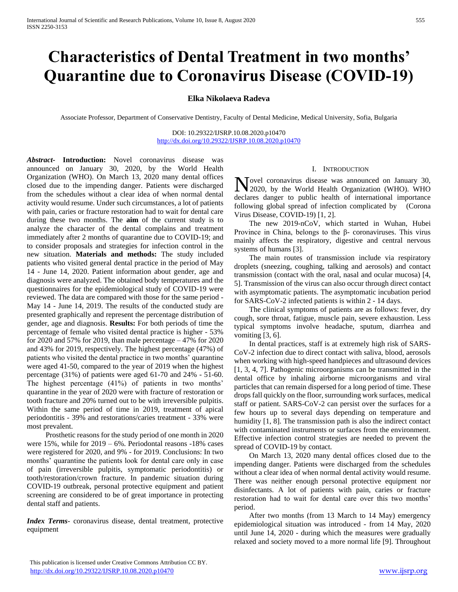# **Characteristics of Dental Treatment in two months' Quarantine due to Coronavirus Disease (COVID-19)**

# **Elka Nikolaeva Radeva**

Associate Professor, Department of Conservative Dentistry, Faculty of Dental Medicine, Medical University, Sofia, Bulgaria

DOI: 10.29322/IJSRP.10.08.2020.p10470 <http://dx.doi.org/10.29322/IJSRP.10.08.2020.p10470>

*Abstract***- Introduction:** Novel coronavirus disease was announced on January 30, 2020, by the World Health Organization (WHO). On March 13, 2020 many dental offices closed due to the impending danger. Patients were discharged from the schedules without a clear idea of when normal dental activity would resume. Under such circumstances, a lot of patients with pain, caries or fracture restoration had to wait for dental care during these two months. The **aim** of the current study is to analyze the character of the dental complains and treatment immediately after 2 months of quarantine due to COVID-19; and to consider proposals and strategies for infection control in the new situation. **Materials and methods:** The study included patients who visited general dental practice in the period of May 14 - June 14, 2020. Patient information about gender, age and diagnosis were analyzed. The obtained body temperatures and the questionnaires for the epidemiological study of COVID-19 were reviewed. The data are compared with those for the same period - May 14 - June 14, 2019. The results of the conducted study are presented graphically and represent the percentage distribution of gender, age and diagnosis. **Results:** For both periods of time the percentage of female who visited dental practice is higher - 53% for 2020 and 57% for 2019, than male percentage – 47% for 2020 and 43% for 2019, respectively. The highest percentage (47%) of patients who visited the dental practice in two months' quarantine were aged 41-50, compared to the year of 2019 when the highest percentage (31%) of patients were aged 61-70 and 24% - 51-60. The highest percentage (41%) of patients in two months' quarantine in the year of 2020 were with fracture of restoration or tooth fracture and 20% turned out to be with irreversible pulpitis. Within the same period of time in 2019, treatment of apical periodontitis - 39% and restorations/caries treatment - 33% were most prevalent.

 Prosthetic reasons for the study period of one month in 2020 were 15%, while for 2019 – 6%. Periodontal reasons -18% cases were registered for 2020, and 9% - for 2019. Conclusions: In two months' quarantine the patients look for dental care only in case of pain (irreversible pulpitis, symptomatic periodontitis) or tooth/restoration/crown fracture. In pandemic situation during COVID-19 outbreak, personal protective equipment and patient screening are considered to be of great importance in protecting dental staff and patients.

*Index Terms*- coronavirus disease, dental treatment, protective equipment

### I. INTRODUCTION

Yovel coronavirus disease was announced on January 30, Novel coronavirus disease was announced on January 30, 2020, by the World Health Organization (WHO). WHO declares danger to public health of international importance following global spread of infection complicated by (Corona Virus Disease, COVID-19) [1, 2].

 The new 2019-nCoV, which started in Wuhan, Hubei Province in China, belongs to the β- coronaviruses. This virus mainly affects the respiratory, digestive and central nervous systems of humans [3].

 The main routes of transmission include via respiratory droplets (sneezing, coughing, talking and aerosols) and contact transmission (contact with the oral, nasal and ocular mucosa) [4, 5]. Transmission of the virus can also occur through direct contact with asymptomatic patients. The asymptomatic incubation period for SARS-CoV-2 infected patients is within 2 - 14 days.

 The clinical symptoms of patients are as follows: fever, dry cough, sore throat, fatigue, muscle pain, severe exhaustion. Less typical symptoms involve headache, sputum, diarrhea and vomiting [3, 6].

 In dental practices, staff is at extremely high risk of SARS-CoV-2 infection due to direct contact with saliva, blood, aerosols when working with high-speed handpieces and ultrasound devices [1, 3, 4, 7]. Pathogenic microorganisms can be transmitted in the dental office by inhaling airborne microorganisms and viral particles that can remain dispersed for a long period of time. These drops fall quickly on the floor, surrounding work surfaces, medical staff or patient. SARS-CoV-2 can persist over the surfaces for a few hours up to several days depending on temperature and humidity [1, 8]. The transmission path is also the indirect contact with contaminated instruments or surfaces from the environment. Effective infection control strategies are needed to prevent the spread of COVID-19 by contact.

 On March 13, 2020 many dental offices closed due to the impending danger. Patients were discharged from the schedules without a clear idea of when normal dental activity would resume. There was neither enough personal protective equipment nor disinfectants. A lot of patients with pain, caries or fracture restoration had to wait for dental care over this two months' period.

 After two months (from 13 March to 14 May) emergency epidemiological situation was introduced - from 14 May, 2020 until June 14, 2020 - during which the measures were gradually relaxed and society moved to a more normal life [9]. Throughout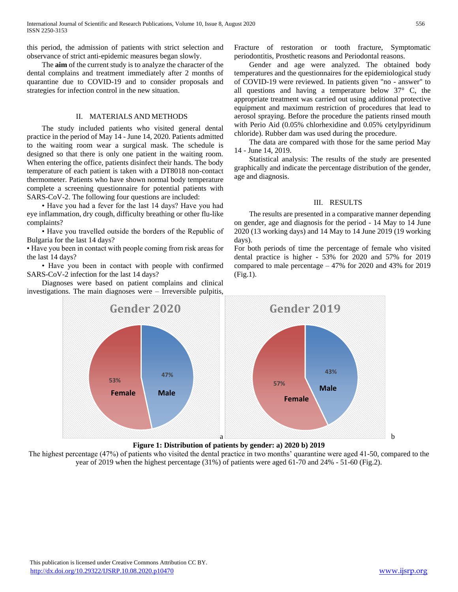this period, the admission of patients with strict selection and observance of strict anti-epidemic measures began slowly.

 The **aim** of the current study is to analyze the character of the dental complains and treatment immediately after 2 months of quarantine due to COVID-19 and to consider proposals and strategies for infection control in the new situation.

## II. MATERIALS AND METHODS

 The study included patients who visited general dental practice in the period of May 14 - June 14, 2020. Patients admitted to the waiting room wear a surgical mask. The schedule is designed so that there is only one patient in the waiting room. When entering the office, patients disinfect their hands. The body temperature of each patient is taken with a DT8018 non-contact thermometer. Patients who have shown normal body temperature complete a screening questionnaire for potential patients with SARS-CoV-2. The following four questions are included:

 • Have you had a fever for the last 14 days? Have you had eye inflammation, dry cough, difficulty breathing or other flu-like complaints?

 • Have you travelled outside the borders of the Republic of Bulgaria for the last 14 days?

• Have you been in contact with people coming from risk areas for the last 14 days?

 • Have you been in contact with people with confirmed SARS-CoV-2 infection for the last 14 days?

 Diagnoses were based on patient complains and clinical investigations. The main diagnoses were – Irreversible pulpitis, Fracture of restoration or tooth fracture, Symptomatic periodontitis, Prosthetic reasons and Periodontal reasons.

 Gender and age were analyzed. The obtained body temperatures and the questionnaires for the epidemiological study of COVID-19 were reviewed. In patients given "no - answer" to all questions and having a temperature below  $37^\circ$  C, the appropriate treatment was carried out using additional protective equipment and maximum restriction of procedures that lead to aerosol spraying. Before the procedure the patients rinsed mouth with Perio Aid (0.05% chlorhexidine and 0.05% cetylpyridinum chloride). Rubber dam was used during the procedure.

 The data are compared with those for the same period May 14 - June 14, 2019.

 Statistical analysis: The results of the study are presented graphically and indicate the percentage distribution of the gender, age and diagnosis.

### III. RESULTS

 The results are presented in a comparative manner depending on gender, age and diagnosis for the period - 14 May to 14 June 2020 (13 working days) and 14 May to 14 June 2019 (19 working days).

For both periods of time the percentage of female who visited dental practice is higher - 53% for 2020 and 57% for 2019 compared to male percentage – 47% for 2020 and 43% for 2019 (Fig.1).





The highest percentage (47%) of patients who visited the dental practice in two months' quarantine were aged 41-50, compared to the year of 2019 when the highest percentage (31%) of patients were aged 61-70 and 24% - 51-60 (Fig.2).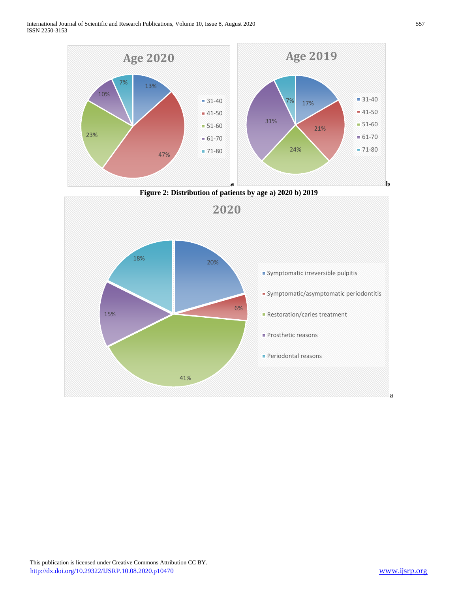International Journal of Scientific and Research Publications, Volume 10, Issue 8, August 2020 557 ISSN 2250-3153







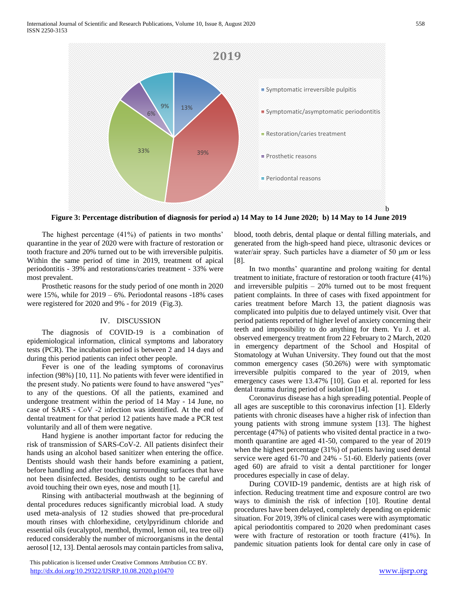

**Figure 3: Percentage distribution of diagnosis for period a) 14 May to 14 June 2020; b) 14 May to 14 June 2019**

 The highest percentage (41%) of patients in two months' quarantine in the year of 2020 were with fracture of restoration or tooth fracture and 20% turned out to be with irreversible pulpitis. Within the same period of time in 2019, treatment of apical periodontitis - 39% and restorations/caries treatment - 33% were most prevalent.

 Prosthetic reasons for the study period of one month in 2020 were 15%, while for 2019 – 6%. Periodontal reasons -18% cases were registered for 2020 and 9% - for 2019 (Fig.3).

## IV. DISCUSSION

 The diagnosis of COVID-19 is a combination of epidemiological information, clinical symptoms and laboratory tests (PCR). The incubation period is between 2 and 14 days and during this period patients can infect other people.

 Fever is one of the leading symptoms of coronavirus infection (98%) [10, 11]. No patients with fever were identified in the present study. No patients were found to have answered "yes" to any of the questions. Of all the patients, examined and undergone treatment within the period of 14 May - 14 June, no case of SARS - CoV -2 infection was identified. At the end of dental treatment for that period 12 patients have made a PCR test voluntarily and all of them were negative.

 Hand hygiene is another important factor for reducing the risk of transmission of SARS-CoV-2. All patients disinfect their hands using an alcohol based sanitizer when entering the office. Dentists should wash their hands before examining a patient, before handling and after touching surrounding surfaces that have not been disinfected. Besides, dentists ought to be careful and avoid touching their own eyes, nose and mouth [1].

 Rinsing with antibacterial mouthwash at the beginning of dental procedures reduces significantly microbial load. A study used meta-analysis of 12 studies showed that pre-procedural mouth rinses with chlorhexidine, cetylpyridinum chloride and essential oils (eucalyptol, menthol, thymol, lemon oil, tea tree oil) reduced considerably the number of microorganisms in the dental aerosol [12, 13]. Dental aerosols may contain particles from saliva,

 This publication is licensed under Creative Commons Attribution CC BY. <http://dx.doi.org/10.29322/IJSRP.10.08.2020.p10470> [www.ijsrp.org](http://ijsrp.org/)

blood, tooth debris, dental plaque or dental filling materials, and generated from the high-speed hand piece, ultrasonic devices or water/air spray. Such particles have a diameter of 50 μm or less [8].

 In two months' quarantine and prolong waiting for dental treatment to initiate, fracture of restoration or tooth fracture (41%) and irreversible pulpitis – 20% turned out to be most frequent patient complaints. In three of cases with fixed appointment for caries treatment before March 13, the patient diagnosis was complicated into pulpitis due to delayed untimely visit. Over that period patients reported of higher level of anxiety concerning their teeth and impossibility to do anything for them. Yu J. et al. observed emergency treatment from 22 February to 2 March, 2020 in emergency department of the School and Hospital of Stomatology at Wuhan University. They found out that the most common emergency cases (50.26%) were with symptomatic irreversible pulpitis compared to the year of 2019, when emergency cases were 13.47% [10]. Guo et al. reported for less dental trauma during period of isolation [14].

 Coronavirus disease has a high spreading potential. People of all ages are susceptible to this coronavirus infection [1]. Elderly patients with chronic diseases have a higher risk of infection than young patients with strong immune system [13]. The highest percentage (47%) of patients who visited dental practice in a twomonth quarantine are aged 41-50, compared to the year of 2019 when the highest percentage (31%) of patients having used dental service were aged 61-70 and 24% - 51-60. Elderly patients (over aged 60) are afraid to visit a dental parctitioner for longer procedures especially in case of delay.

 During COVID-19 pandemic, dentists are at high risk of infection. Reducing treatment time and exposure control are two ways to diminish the risk of infection [10]. Routine dental procedures have been delayed, completely depending on epidemic situation. For 2019, 39% of clinical cases were with asymptomatic apical periodontitis compared to 2020 when predominant cases were with fracture of restoration or tooth fracture (41%). In pandemic situation patients look for dental care only in case of